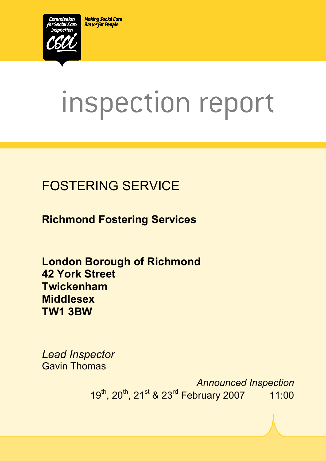**Making Social Care Better for People** 



# inspection report

# FOSTERING SERVICE

**Richmond Fostering Services** 

**London Borough of Richmond 42 York Street Twickenham Middlesex TW1 3BW** 

*Lead Inspector*  Gavin Thomas

> *Announced Inspection* 19<sup>th</sup>, 20<sup>th</sup>, 21<sup>st</sup> & 23<sup>rd</sup> February 2007 11:00

 $X_1$ 10029.doc Version 1.40 Page 1.40 Page 1.40 Page 1.40 Page 1.40 Page 1.40 Page 1.40 Page 1.40 Page 1.40 Page 1.40 Page 1.40 Page 1.40 Page 1.40 Page 1.40 Page 1.40 Page 1.40 Page 1.40 Page 1.40 Page 1.40 Page 1.40 Pag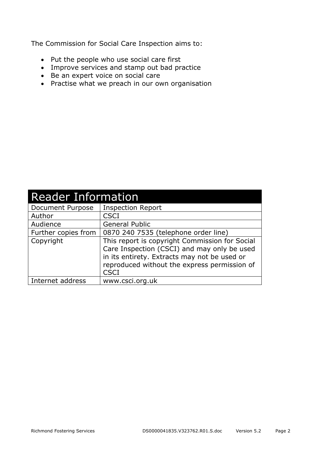The Commission for Social Care Inspection aims to:

- Put the people who use social care first
- Improve services and stamp out bad practice
- Be an expert voice on social care
- Practise what we preach in our own organisation

| <b>Reader Information</b> |                                                                                                                                                                                                              |  |  |
|---------------------------|--------------------------------------------------------------------------------------------------------------------------------------------------------------------------------------------------------------|--|--|
| Document Purpose          | <b>Inspection Report</b>                                                                                                                                                                                     |  |  |
| Author                    | <b>CSCI</b>                                                                                                                                                                                                  |  |  |
| Audience                  | <b>General Public</b>                                                                                                                                                                                        |  |  |
| Further copies from       | 0870 240 7535 (telephone order line)                                                                                                                                                                         |  |  |
| Copyright                 | This report is copyright Commission for Social<br>Care Inspection (CSCI) and may only be used<br>in its entirety. Extracts may not be used or<br>reproduced without the express permission of<br><b>CSCI</b> |  |  |
| Internet address          | www.csci.org.uk                                                                                                                                                                                              |  |  |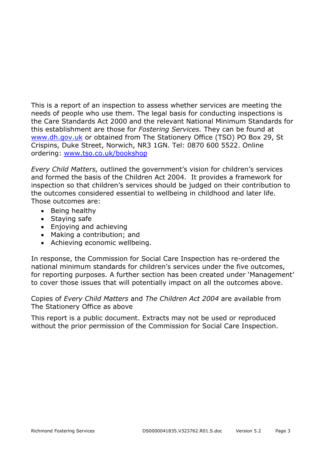This is a report of an inspection to assess whether services are meeting the needs of people who use them. The legal basis for conducting inspections is the Care Standards Act 2000 and the relevant National Minimum Standards for this establishment are those for *Fostering Services.* They can be found at www.dh.gov.uk or obtained from The Stationery Office (TSO) PO Box 29, St Crispins, Duke Street, Norwich, NR3 1GN. Tel: 0870 600 5522. Online ordering: www.tso.co.uk/bookshop

*Every Child Matters,* outlined the government's vision for children's services and formed the basis of the Children Act 2004. It provides a framework for inspection so that children's services should be judged on their contribution to the outcomes considered essential to wellbeing in childhood and later life. Those outcomes are:

- Being healthy
- Staying safe
- Enjoying and achieving
- Making a contribution; and
- Achieving economic wellbeing.

In response, the Commission for Social Care Inspection has re-ordered the national minimum standards for children's services under the five outcomes, for reporting purposes. A further section has been created under 'Management' to cover those issues that will potentially impact on all the outcomes above.

Copies of *Every Child Matters* and *The Children Act 2004* are available from The Stationery Office as above

This report is a public document. Extracts may not be used or reproduced without the prior permission of the Commission for Social Care Inspection.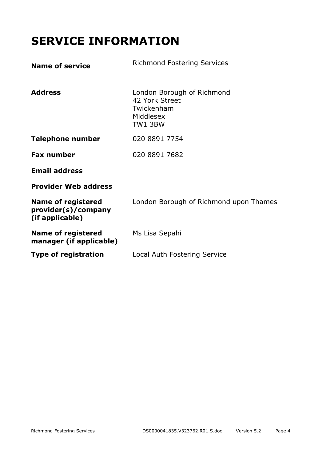# **SERVICE INFORMATION**

| <b>Name of service</b>                                              | <b>Richmond Fostering Services</b>                                                 |
|---------------------------------------------------------------------|------------------------------------------------------------------------------------|
| <b>Address</b>                                                      | London Borough of Richmond<br>42 York Street<br>Twickenham<br>Middlesex<br>TW1 3BW |
| <b>Telephone number</b>                                             | 020 8891 7754                                                                      |
| <b>Fax number</b>                                                   | 020 8891 7682                                                                      |
| <b>Email address</b>                                                |                                                                                    |
| <b>Provider Web address</b>                                         |                                                                                    |
| <b>Name of registered</b><br>provider(s)/company<br>(if applicable) | London Borough of Richmond upon Thames                                             |
| <b>Name of registered</b><br>manager (if applicable)                | Ms Lisa Sepahi                                                                     |
| <b>Type of registration</b>                                         | Local Auth Fostering Service                                                       |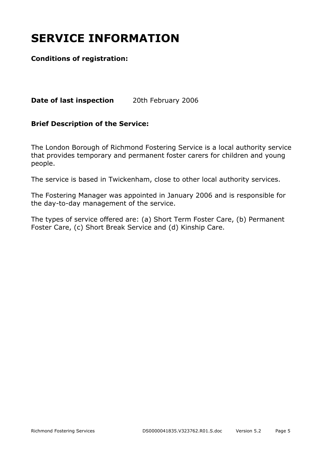# **SERVICE INFORMATION**

#### **Conditions of registration:**

**Date of last inspection** 20th February 2006

#### **Brief Description of the Service:**

The London Borough of Richmond Fostering Service is a local authority service that provides temporary and permanent foster carers for children and young people.

The service is based in Twickenham, close to other local authority services.

The Fostering Manager was appointed in January 2006 and is responsible for the day-to-day management of the service.

The types of service offered are: (a) Short Term Foster Care, (b) Permanent Foster Care, (c) Short Break Service and (d) Kinship Care.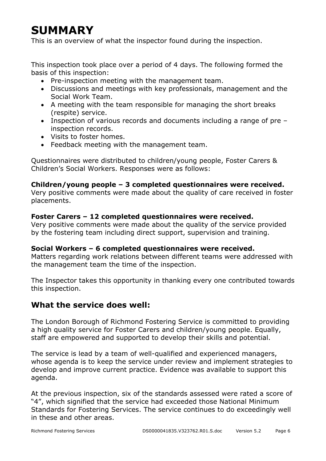# **SUMMARY**

This is an overview of what the inspector found during the inspection.

This inspection took place over a period of 4 days. The following formed the basis of this inspection:

- Pre-inspection meeting with the management team.
- Discussions and meetings with key professionals, management and the Social Work Team.
- A meeting with the team responsible for managing the short breaks (respite) service.
- Inspection of various records and documents including a range of pre inspection records.
- Visits to foster homes.
- Feedback meeting with the management team.

Questionnaires were distributed to children/young people, Foster Carers & Children's Social Workers. Responses were as follows:

#### **Children/young people – 3 completed questionnaires were received.**

Very positive comments were made about the quality of care received in foster placements.

#### **Foster Carers – 12 completed questionnaires were received.**

Very positive comments were made about the quality of the service provided by the fostering team including direct support, supervision and training.

#### **Social Workers – 6 completed questionnaires were received.**

Matters regarding work relations between different teams were addressed with the management team the time of the inspection.

The Inspector takes this opportunity in thanking every one contributed towards this inspection.

#### **What the service does well:**

The London Borough of Richmond Fostering Service is committed to providing a high quality service for Foster Carers and children/young people. Equally, staff are empowered and supported to develop their skills and potential.

The service is lead by a team of well-qualified and experienced managers, whose agenda is to keep the service under review and implement strategies to develop and improve current practice. Evidence was available to support this agenda.

At the previous inspection, six of the standards assessed were rated a score of "4", which signified that the service had exceeded those National Minimum Standards for Fostering Services. The service continues to do exceedingly well in these and other areas.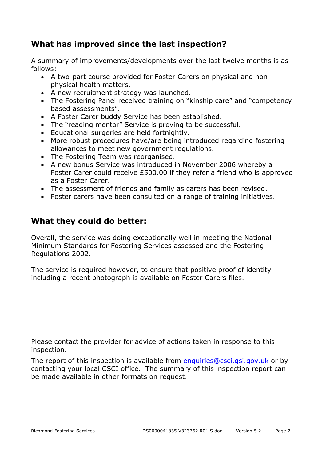#### **What has improved since the last inspection?**

A summary of improvements/developments over the last twelve months is as follows:

- A two-part course provided for Foster Carers on physical and nonphysical health matters.
- A new recruitment strategy was launched.
- The Fostering Panel received training on "kinship care" and "competency based assessments".
- A Foster Carer buddy Service has been established.
- The "reading mentor" Service is proving to be successful.
- Educational surgeries are held fortnightly.
- More robust procedures have/are being introduced regarding fostering allowances to meet new government regulations.
- The Fostering Team was reorganised.
- A new bonus Service was introduced in November 2006 whereby a Foster Carer could receive £500.00 if they refer a friend who is approved as a Foster Carer.
- The assessment of friends and family as carers has been revised.
- Foster carers have been consulted on a range of training initiatives.

#### **What they could do better:**

Overall, the service was doing exceptionally well in meeting the National Minimum Standards for Fostering Services assessed and the Fostering Regulations 2002.

The service is required however, to ensure that positive proof of identity including a recent photograph is available on Foster Carers files.

Please contact the provider for advice of actions taken in response to this inspection.

The report of this inspection is available from enquiries@csci.gsi.gov.uk or by contacting your local CSCI office. The summary of this inspection report can be made available in other formats on request.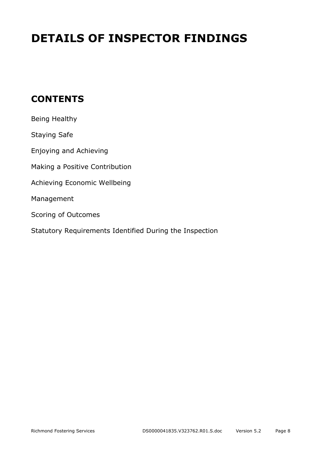# **DETAILS OF INSPECTOR FINDINGS**

## **CONTENTS**

| Being Healthy                                           |
|---------------------------------------------------------|
| <b>Staying Safe</b>                                     |
| Enjoying and Achieving                                  |
| Making a Positive Contribution                          |
| Achieving Economic Wellbeing                            |
| Management                                              |
| Scoring of Outcomes                                     |
| Statutory Requirements Identified During the Inspection |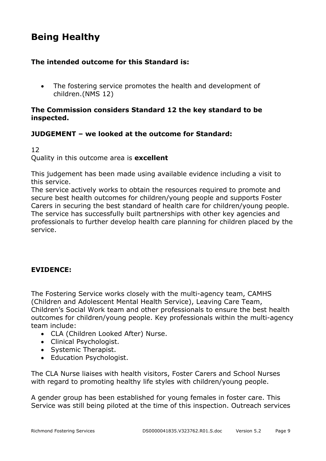## **Being Healthy**

#### **The intended outcome for this Standard is:**

• The fostering service promotes the health and development of children.(NMS 12)

#### **The Commission considers Standard 12 the key standard to be inspected.**

#### **JUDGEMENT – we looked at the outcome for Standard:**

#### 12 Quality in this outcome area is **excellent**

This judgement has been made using available evidence including a visit to this service.

The service actively works to obtain the resources required to promote and secure best health outcomes for children/young people and supports Foster Carers in securing the best standard of health care for children/young people. The service has successfully built partnerships with other key agencies and professionals to further develop health care planning for children placed by the service.

#### **EVIDENCE:**

The Fostering Service works closely with the multi-agency team, CAMHS (Children and Adolescent Mental Health Service), Leaving Care Team, Children's Social Work team and other professionals to ensure the best health outcomes for children/young people. Key professionals within the multi-agency team include:

- CLA (Children Looked After) Nurse.
- Clinical Psychologist.
- Systemic Therapist.
- Education Psychologist.

The CLA Nurse liaises with health visitors, Foster Carers and School Nurses with regard to promoting healthy life styles with children/young people.

A gender group has been established for young females in foster care. This Service was still being piloted at the time of this inspection. Outreach services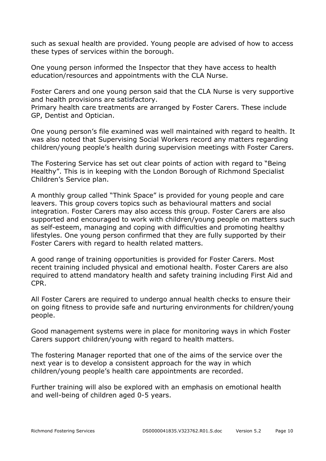such as sexual health are provided. Young people are advised of how to access these types of services within the borough.

One young person informed the Inspector that they have access to health education/resources and appointments with the CLA Nurse.

Foster Carers and one young person said that the CLA Nurse is very supportive and health provisions are satisfactory.

Primary health care treatments are arranged by Foster Carers. These include GP, Dentist and Optician.

One young person's file examined was well maintained with regard to health. It was also noted that Supervising Social Workers record any matters regarding children/young people's health during supervision meetings with Foster Carers.

The Fostering Service has set out clear points of action with regard to "Being Healthy". This is in keeping with the London Borough of Richmond Specialist Children's Service plan.

A monthly group called "Think Space" is provided for young people and care leavers. This group covers topics such as behavioural matters and social integration. Foster Carers may also access this group. Foster Carers are also supported and encouraged to work with children/young people on matters such as self-esteem, managing and coping with difficulties and promoting healthy lifestyles. One young person confirmed that they are fully supported by their Foster Carers with regard to health related matters.

A good range of training opportunities is provided for Foster Carers. Most recent training included physical and emotional health. Foster Carers are also required to attend mandatory health and safety training including First Aid and CPR.

All Foster Carers are required to undergo annual health checks to ensure their on going fitness to provide safe and nurturing environments for children/young people.

Good management systems were in place for monitoring ways in which Foster Carers support children/young with regard to health matters.

The fostering Manager reported that one of the aims of the service over the next year is to develop a consistent approach for the way in which children/young people's health care appointments are recorded.

Further training will also be explored with an emphasis on emotional health and well-being of children aged 0-5 years.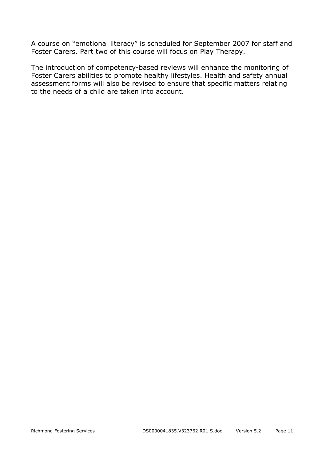A course on "emotional literacy" is scheduled for September 2007 for staff and Foster Carers. Part two of this course will focus on Play Therapy.

The introduction of competency-based reviews will enhance the monitoring of Foster Carers abilities to promote healthy lifestyles. Health and safety annual assessment forms will also be revised to ensure that specific matters relating to the needs of a child are taken into account.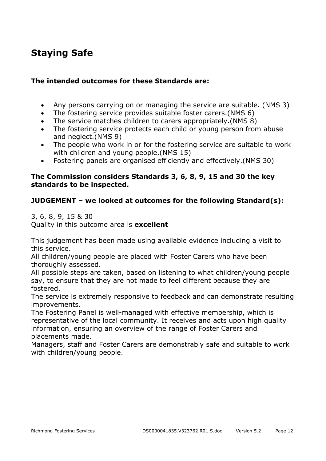## **Staying Safe**

#### **The intended outcomes for these Standards are:**

- Any persons carrying on or managing the service are suitable. (NMS 3)
- The fostering service provides suitable foster carers.(NMS 6)
- The service matches children to carers appropriately.(NMS 8)
- The fostering service protects each child or young person from abuse and neglect.(NMS 9)
- The people who work in or for the fostering service are suitable to work with children and young people.(NMS 15)
- Fostering panels are organised efficiently and effectively.(NMS 30)

#### **The Commission considers Standards 3, 6, 8, 9, 15 and 30 the key standards to be inspected.**

#### **JUDGEMENT – we looked at outcomes for the following Standard(s):**

3, 6, 8, 9, 15 & 30

Quality in this outcome area is **excellent** 

This judgement has been made using available evidence including a visit to this service.

All children/young people are placed with Foster Carers who have been thoroughly assessed.

All possible steps are taken, based on listening to what children/young people say, to ensure that they are not made to feel different because they are fostered.

The service is extremely responsive to feedback and can demonstrate resulting improvements.

The Fostering Panel is well-managed with effective membership, which is representative of the local community. It receives and acts upon high quality information, ensuring an overview of the range of Foster Carers and placements made.

Managers, staff and Foster Carers are demonstrably safe and suitable to work with children/young people.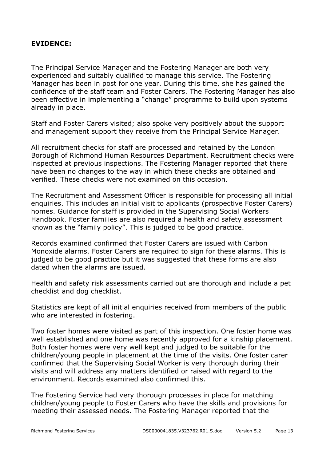#### **EVIDENCE:**

The Principal Service Manager and the Fostering Manager are both very experienced and suitably qualified to manage this service. The Fostering Manager has been in post for one year. During this time, she has gained the confidence of the staff team and Foster Carers. The Fostering Manager has also been effective in implementing a "change" programme to build upon systems already in place.

Staff and Foster Carers visited; also spoke very positively about the support and management support they receive from the Principal Service Manager.

All recruitment checks for staff are processed and retained by the London Borough of Richmond Human Resources Department. Recruitment checks were inspected at previous inspections. The Fostering Manager reported that there have been no changes to the way in which these checks are obtained and verified. These checks were not examined on this occasion.

The Recruitment and Assessment Officer is responsible for processing all initial enquiries. This includes an initial visit to applicants (prospective Foster Carers) homes. Guidance for staff is provided in the Supervising Social Workers Handbook. Foster families are also required a health and safety assessment known as the "family policy". This is judged to be good practice.

Records examined confirmed that Foster Carers are issued with Carbon Monoxide alarms. Foster Carers are required to sign for these alarms. This is judged to be good practice but it was suggested that these forms are also dated when the alarms are issued.

Health and safety risk assessments carried out are thorough and include a pet checklist and dog checklist.

Statistics are kept of all initial enquiries received from members of the public who are interested in fostering.

Two foster homes were visited as part of this inspection. One foster home was well established and one home was recently approved for a kinship placement. Both foster homes were very well kept and judged to be suitable for the children/young people in placement at the time of the visits. One foster carer confirmed that the Supervising Social Worker is very thorough during their visits and will address any matters identified or raised with regard to the environment. Records examined also confirmed this.

The Fostering Service had very thorough processes in place for matching children/young people to Foster Carers who have the skills and provisions for meeting their assessed needs. The Fostering Manager reported that the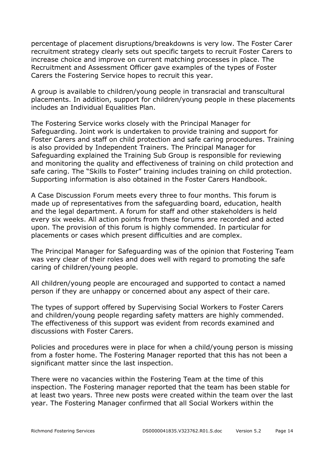percentage of placement disruptions/breakdowns is very low. The Foster Carer recruitment strategy clearly sets out specific targets to recruit Foster Carers to increase choice and improve on current matching processes in place. The Recruitment and Assessment Officer gave examples of the types of Foster Carers the Fostering Service hopes to recruit this year.

A group is available to children/young people in transracial and transcultural placements. In addition, support for children/young people in these placements includes an Individual Equalities Plan.

The Fostering Service works closely with the Principal Manager for Safeguarding. Joint work is undertaken to provide training and support for Foster Carers and staff on child protection and safe caring procedures. Training is also provided by Independent Trainers. The Principal Manager for Safeguarding explained the Training Sub Group is responsible for reviewing and monitoring the quality and effectiveness of training on child protection and safe caring. The "Skills to Foster" training includes training on child protection. Supporting information is also obtained in the Foster Carers Handbook.

A Case Discussion Forum meets every three to four months. This forum is made up of representatives from the safeguarding board, education, health and the legal department. A forum for staff and other stakeholders is held every six weeks. All action points from these forums are recorded and acted upon. The provision of this forum is highly commended. In particular for placements or cases which present difficulties and are complex.

The Principal Manager for Safeguarding was of the opinion that Fostering Team was very clear of their roles and does well with regard to promoting the safe caring of children/young people.

All children/young people are encouraged and supported to contact a named person if they are unhappy or concerned about any aspect of their care.

The types of support offered by Supervising Social Workers to Foster Carers and children/young people regarding safety matters are highly commended. The effectiveness of this support was evident from records examined and discussions with Foster Carers.

Policies and procedures were in place for when a child/young person is missing from a foster home. The Fostering Manager reported that this has not been a significant matter since the last inspection.

There were no vacancies within the Fostering Team at the time of this inspection. The Fostering manager reported that the team has been stable for at least two years. Three new posts were created within the team over the last year. The Fostering Manager confirmed that all Social Workers within the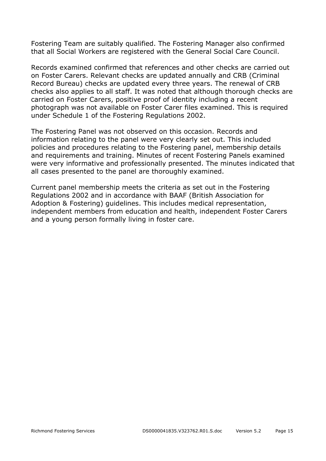Fostering Team are suitably qualified. The Fostering Manager also confirmed that all Social Workers are registered with the General Social Care Council.

Records examined confirmed that references and other checks are carried out on Foster Carers. Relevant checks are updated annually and CRB (Criminal Record Bureau) checks are updated every three years. The renewal of CRB checks also applies to all staff. It was noted that although thorough checks are carried on Foster Carers, positive proof of identity including a recent photograph was not available on Foster Carer files examined. This is required under Schedule 1 of the Fostering Regulations 2002.

The Fostering Panel was not observed on this occasion. Records and information relating to the panel were very clearly set out. This included policies and procedures relating to the Fostering panel, membership details and requirements and training. Minutes of recent Fostering Panels examined were very informative and professionally presented. The minutes indicated that all cases presented to the panel are thoroughly examined.

Current panel membership meets the criteria as set out in the Fostering Regulations 2002 and in accordance with BAAF (British Association for Adoption & Fostering) guidelines. This includes medical representation, independent members from education and health, independent Foster Carers and a young person formally living in foster care.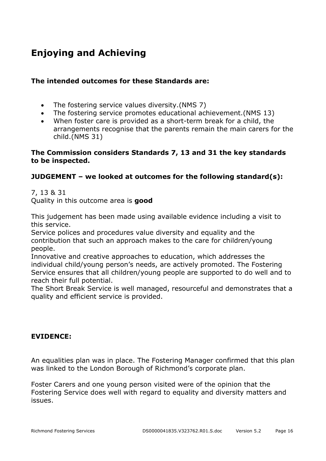# **Enjoying and Achieving**

#### **The intended outcomes for these Standards are:**

- The fostering service values diversity.(NMS 7)
- The fostering service promotes educational achievement.(NMS 13)
- When foster care is provided as a short-term break for a child, the arrangements recognise that the parents remain the main carers for the child.(NMS 31)

#### **The Commission considers Standards 7, 13 and 31 the key standards to be inspected.**

#### **JUDGEMENT – we looked at outcomes for the following standard(s):**

7, 13 & 31

Quality in this outcome area is **good** 

This judgement has been made using available evidence including a visit to this service.

Service polices and procedures value diversity and equality and the contribution that such an approach makes to the care for children/young people.

Innovative and creative approaches to education, which addresses the individual child/young person's needs, are actively promoted. The Fostering Service ensures that all children/young people are supported to do well and to reach their full potential.

The Short Break Service is well managed, resourceful and demonstrates that a quality and efficient service is provided.

#### **EVIDENCE:**

An equalities plan was in place. The Fostering Manager confirmed that this plan was linked to the London Borough of Richmond's corporate plan.

Foster Carers and one young person visited were of the opinion that the Fostering Service does well with regard to equality and diversity matters and issues.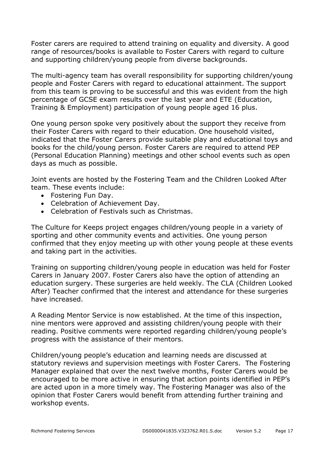Foster carers are required to attend training on equality and diversity. A good range of resources/books is available to Foster Carers with regard to culture and supporting children/young people from diverse backgrounds.

The multi-agency team has overall responsibility for supporting children/young people and Foster Carers with regard to educational attainment. The support from this team is proving to be successful and this was evident from the high percentage of GCSE exam results over the last year and ETE (Education, Training & Employment) participation of young people aged 16 plus.

One young person spoke very positively about the support they receive from their Foster Carers with regard to their education. One household visited, indicated that the Foster Carers provide suitable play and educational toys and books for the child/young person. Foster Carers are required to attend PEP (Personal Education Planning) meetings and other school events such as open days as much as possible.

Joint events are hosted by the Fostering Team and the Children Looked After team. These events include:

- Fostering Fun Day.
- Celebration of Achievement Day.
- Celebration of Festivals such as Christmas.

The Culture for Keeps project engages children/young people in a variety of sporting and other community events and activities. One young person confirmed that they enjoy meeting up with other young people at these events and taking part in the activities.

Training on supporting children/young people in education was held for Foster Carers in January 2007. Foster Carers also have the option of attending an education surgery. These surgeries are held weekly. The CLA (Children Looked After) Teacher confirmed that the interest and attendance for these surgeries have increased.

A Reading Mentor Service is now established. At the time of this inspection, nine mentors were approved and assisting children/young people with their reading. Positive comments were reported regarding children/young people's progress with the assistance of their mentors.

Children/young people's education and learning needs are discussed at statutory reviews and supervision meetings with Foster Carers. The Fostering Manager explained that over the next twelve months, Foster Carers would be encouraged to be more active in ensuring that action points identified in PEP's are acted upon in a more timely way. The Fostering Manager was also of the opinion that Foster Carers would benefit from attending further training and workshop events.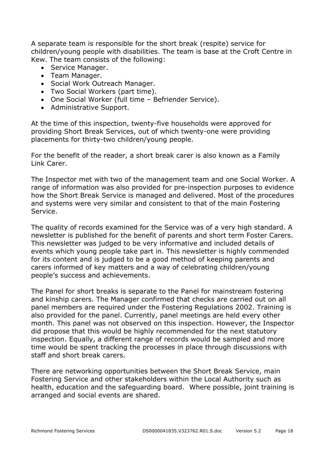A separate team is responsible for the short break (respite) service for children/young people with disabilities. The team is base at the Croft Centre in Kew. The team consists of the following:

- Service Manager.
- Team Manager.
- Social Work Outreach Manager.
- Two Social Workers (part time).
- One Social Worker (full time Befriender Service).
- Administrative Support.

At the time of this inspection, twenty-five households were approved for providing Short Break Services, out of which twenty-one were providing placements for thirty-two children/young people.

For the benefit of the reader, a short break carer is also known as a Family Link Carer.

The Inspector met with two of the management team and one Social Worker. A range of information was also provided for pre-inspection purposes to evidence how the Short Break Service is managed and delivered. Most of the procedures and systems were very similar and consistent to that of the main Fostering Service.

The quality of records examined for the Service was of a very high standard. A newsletter is published for the benefit of parents and short term Foster Carers. This newsletter was judged to be very informative and included details of events which young people take part in. This newsletter is highly commended for its content and is judged to be a good method of keeping parents and carers informed of key matters and a way of celebrating children/young people's success and achievements.

The Panel for short breaks is separate to the Panel for mainstream fostering and kinship carers. The Manager confirmed that checks are carried out on all panel members are required under the Fostering Regulations 2002. Training is also provided for the panel. Currently, panel meetings are held every other month. This panel was not observed on this inspection. However, the Inspector did propose that this would be highly recommended for the next statutory inspection. Equally, a different range of records would be sampled and more time would be spent tracking the processes in place through discussions with staff and short break carers.

There are networking opportunities between the Short Break Service, main Fostering Service and other stakeholders within the Local Authority such as health, education and the safeguarding board. Where possible, joint training is arranged and social events are shared.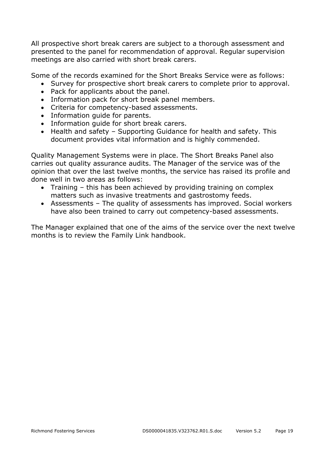All prospective short break carers are subject to a thorough assessment and presented to the panel for recommendation of approval. Regular supervision meetings are also carried with short break carers.

Some of the records examined for the Short Breaks Service were as follows:

- Survey for prospective short break carers to complete prior to approval.
- Pack for applicants about the panel.
- Information pack for short break panel members.
- Criteria for competency-based assessments.
- Information guide for parents.
- Information guide for short break carers.
- Health and safety Supporting Guidance for health and safety. This document provides vital information and is highly commended.

Quality Management Systems were in place. The Short Breaks Panel also carries out quality assurance audits. The Manager of the service was of the opinion that over the last twelve months, the service has raised its profile and done well in two areas as follows:

- Training this has been achieved by providing training on complex matters such as invasive treatments and gastrostomy feeds.
- Assessments The quality of assessments has improved. Social workers have also been trained to carry out competency-based assessments.

The Manager explained that one of the aims of the service over the next twelve months is to review the Family Link handbook.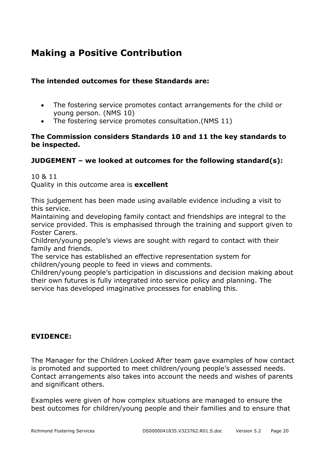## **Making a Positive Contribution**

#### **The intended outcomes for these Standards are:**

- The fostering service promotes contact arrangements for the child or young person. (NMS 10)
- The fostering service promotes consultation.(NMS 11)

#### **The Commission considers Standards 10 and 11 the key standards to be inspected.**

#### **JUDGEMENT – we looked at outcomes for the following standard(s):**

10 & 11 Quality in this outcome area is **excellent** 

This judgement has been made using available evidence including a visit to this service.

Maintaining and developing family contact and friendships are integral to the service provided. This is emphasised through the training and support given to Foster Carers.

Children/young people's views are sought with regard to contact with their family and friends.

The service has established an effective representation system for children/young people to feed in views and comments.

Children/young people's participation in discussions and decision making about their own futures is fully integrated into service policy and planning. The service has developed imaginative processes for enabling this.

#### **EVIDENCE:**

The Manager for the Children Looked After team gave examples of how contact is promoted and supported to meet children/young people's assessed needs. Contact arrangements also takes into account the needs and wishes of parents and significant others.

Examples were given of how complex situations are managed to ensure the best outcomes for children/young people and their families and to ensure that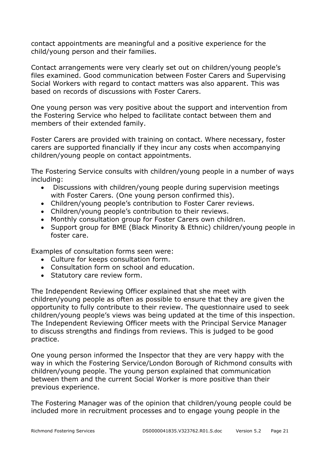contact appointments are meaningful and a positive experience for the child/young person and their families.

Contact arrangements were very clearly set out on children/young people's files examined. Good communication between Foster Carers and Supervising Social Workers with regard to contact matters was also apparent. This was based on records of discussions with Foster Carers.

One young person was very positive about the support and intervention from the Fostering Service who helped to facilitate contact between them and members of their extended family.

Foster Carers are provided with training on contact. Where necessary, foster carers are supported financially if they incur any costs when accompanying children/young people on contact appointments.

The Fostering Service consults with children/young people in a number of ways including:

- Discussions with children/young people during supervision meetings with Foster Carers. (One young person confirmed this).
- Children/young people's contribution to Foster Carer reviews.
- Children/young people's contribution to their reviews.
- Monthly consultation group for Foster Carers own children.
- Support group for BME (Black Minority & Ethnic) children/young people in foster care.

Examples of consultation forms seen were:

- Culture for keeps consultation form.
- Consultation form on school and education.
- Statutory care review form.

The Independent Reviewing Officer explained that she meet with children/young people as often as possible to ensure that they are given the opportunity to fully contribute to their review. The questionnaire used to seek children/young people's views was being updated at the time of this inspection. The Independent Reviewing Officer meets with the Principal Service Manager to discuss strengths and findings from reviews. This is judged to be good practice.

One young person informed the Inspector that they are very happy with the way in which the Fostering Service/London Borough of Richmond consults with children/young people. The young person explained that communication between them and the current Social Worker is more positive than their previous experience.

The Fostering Manager was of the opinion that children/young people could be included more in recruitment processes and to engage young people in the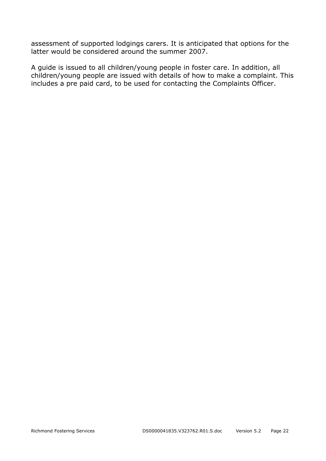assessment of supported lodgings carers. It is anticipated that options for the latter would be considered around the summer 2007.

A guide is issued to all children/young people in foster care. In addition, all children/young people are issued with details of how to make a complaint. This includes a pre paid card, to be used for contacting the Complaints Officer.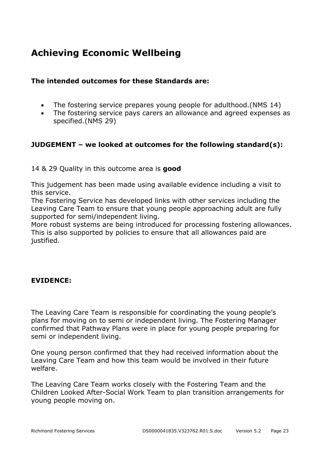## **Achieving Economic Wellbeing**

#### **The intended outcomes for these Standards are:**

- The fostering service prepares young people for adulthood.(NMS 14)
- The fostering service pays carers an allowance and agreed expenses as specified.(NMS 29)

#### **JUDGEMENT – we looked at outcomes for the following standard(s):**

#### 14 & 29 Quality in this outcome area is **good**

This judgement has been made using available evidence including a visit to this service.

The Fostering Service has developed links with other services including the Leaving Care Team to ensure that young people approaching adult are fully supported for semi/independent living.

More robust systems are being introduced for processing fostering allowances. This is also supported by policies to ensure that all allowances paid are justified.

#### **EVIDENCE:**

The Leaving Care Team is responsible for coordinating the young people's plans for moving on to semi or independent living. The Fostering Manager confirmed that Pathway Plans were in place for young people preparing for semi or independent living.

One young person confirmed that they had received information about the Leaving Care Team and how this team would be involved in their future welfare.

The Leaving Care Team works closely with the Fostering Team and the Children Looked After-Social Work Team to plan transition arrangements for young people moving on.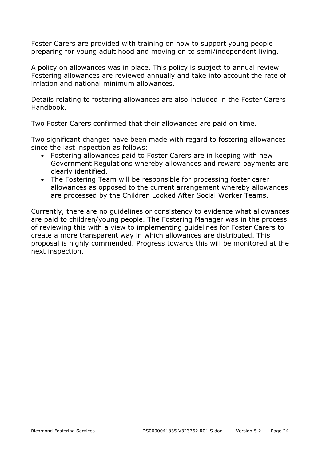Foster Carers are provided with training on how to support young people preparing for young adult hood and moving on to semi/independent living.

A policy on allowances was in place. This policy is subject to annual review. Fostering allowances are reviewed annually and take into account the rate of inflation and national minimum allowances.

Details relating to fostering allowances are also included in the Foster Carers Handbook.

Two Foster Carers confirmed that their allowances are paid on time.

Two significant changes have been made with regard to fostering allowances since the last inspection as follows:

- Fostering allowances paid to Foster Carers are in keeping with new Government Regulations whereby allowances and reward payments are clearly identified.
- The Fostering Team will be responsible for processing foster carer allowances as opposed to the current arrangement whereby allowances are processed by the Children Looked After Social Worker Teams.

Currently, there are no guidelines or consistency to evidence what allowances are paid to children/young people. The Fostering Manager was in the process of reviewing this with a view to implementing guidelines for Foster Carers to create a more transparent way in which allowances are distributed. This proposal is highly commended. Progress towards this will be monitored at the next inspection.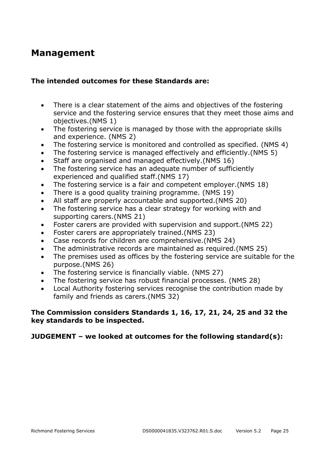### **Management**

#### **The intended outcomes for these Standards are:**

- There is a clear statement of the aims and objectives of the fostering service and the fostering service ensures that they meet those aims and objectives.(NMS 1)
- The fostering service is managed by those with the appropriate skills and experience. (NMS 2)
- The fostering service is monitored and controlled as specified. (NMS 4)
- The fostering service is managed effectively and efficiently.(NMS 5)
- Staff are organised and managed effectively.(NMS 16)
- The fostering service has an adequate number of sufficiently experienced and qualified staff.(NMS 17)
- The fostering service is a fair and competent employer.(NMS 18)
- There is a good quality training programme. (NMS 19)
- All staff are properly accountable and supported.(NMS 20)
- The fostering service has a clear strategy for working with and supporting carers.(NMS 21)
- Foster carers are provided with supervision and support.(NMS 22)
- Foster carers are appropriately trained.(NMS 23)
- Case records for children are comprehensive.(NMS 24)
- The administrative records are maintained as required.(NMS 25)
- The premises used as offices by the fostering service are suitable for the purpose.(NMS 26)
- The fostering service is financially viable. (NMS 27)
- The fostering service has robust financial processes. (NMS 28)
- Local Authority fostering services recognise the contribution made by family and friends as carers.(NMS 32)

#### **The Commission considers Standards 1, 16, 17, 21, 24, 25 and 32 the key standards to be inspected.**

#### **JUDGEMENT – we looked at outcomes for the following standard(s):**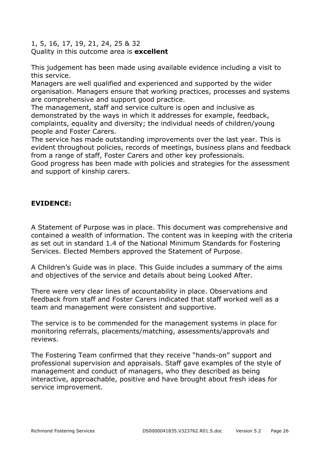1, 5, 16, 17, 19, 21, 24, 25 & 32 Quality in this outcome area is **excellent** 

This judgement has been made using available evidence including a visit to this service.

Managers are well qualified and experienced and supported by the wider organisation. Managers ensure that working practices, processes and systems are comprehensive and support good practice.

The management, staff and service culture is open and inclusive as demonstrated by the ways in which it addresses for example, feedback, complaints, equality and diversity; the individual needs of children/young people and Foster Carers.

The service has made outstanding improvements over the last year. This is evident throughout policies, records of meetings, business plans and feedback from a range of staff, Foster Carers and other key professionals.

Good progress has been made with policies and strategies for the assessment and support of kinship carers.

#### **EVIDENCE:**

A Statement of Purpose was in place. This document was comprehensive and contained a wealth of information. The content was in keeping with the criteria as set out in standard 1.4 of the National Minimum Standards for Fostering Services. Elected Members approved the Statement of Purpose.

A Children's Guide was in place. This Guide includes a summary of the aims and objectives of the service and details about being Looked After.

There were very clear lines of accountability in place. Observations and feedback from staff and Foster Carers indicated that staff worked well as a team and management were consistent and supportive.

The service is to be commended for the management systems in place for monitoring referrals, placements/matching, assessments/approvals and reviews.

The Fostering Team confirmed that they receive "hands-on" support and professional supervision and appraisals. Staff gave examples of the style of management and conduct of managers, who they described as being interactive, approachable, positive and have brought about fresh ideas for service improvement.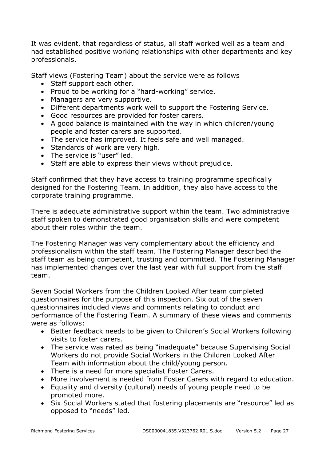It was evident, that regardless of status, all staff worked well as a team and had established positive working relationships with other departments and key professionals.

Staff views (Fostering Team) about the service were as follows

- Staff support each other.
- Proud to be working for a "hard-working" service.
- Managers are very supportive.
- Different departments work well to support the Fostering Service.
- Good resources are provided for foster carers.
- A good balance is maintained with the way in which children/young people and foster carers are supported.
- The service has improved. It feels safe and well managed.
- Standards of work are very high.
- The service is "user" led.
- Staff are able to express their views without prejudice.

Staff confirmed that they have access to training programme specifically designed for the Fostering Team. In addition, they also have access to the corporate training programme.

There is adequate administrative support within the team. Two administrative staff spoken to demonstrated good organisation skills and were competent about their roles within the team.

The Fostering Manager was very complementary about the efficiency and professionalism within the staff team. The Fostering Manager described the staff team as being competent, trusting and committed. The Fostering Manager has implemented changes over the last year with full support from the staff team.

Seven Social Workers from the Children Looked After team completed questionnaires for the purpose of this inspection. Six out of the seven questionnaires included views and comments relating to conduct and performance of the Fostering Team. A summary of these views and comments were as follows:

- Better feedback needs to be given to Children's Social Workers following visits to foster carers.
- The service was rated as being "inadequate" because Supervising Social Workers do not provide Social Workers in the Children Looked After Team with information about the child/young person.
- There is a need for more specialist Foster Carers.
- More involvement is needed from Foster Carers with regard to education.
- Equality and diversity (cultural) needs of young people need to be promoted more.
- Six Social Workers stated that fostering placements are "resource" led as opposed to "needs" led.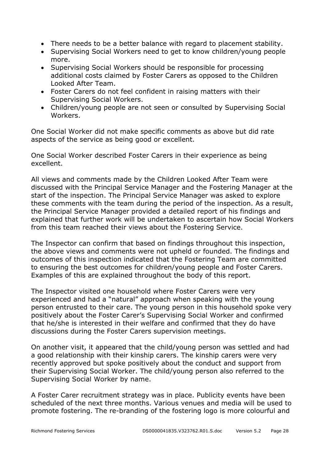- There needs to be a better balance with regard to placement stability.
- Supervising Social Workers need to get to know children/young people more.
- Supervising Social Workers should be responsible for processing additional costs claimed by Foster Carers as opposed to the Children Looked After Team.
- Foster Carers do not feel confident in raising matters with their Supervising Social Workers.
- Children/young people are not seen or consulted by Supervising Social Workers.

One Social Worker did not make specific comments as above but did rate aspects of the service as being good or excellent.

One Social Worker described Foster Carers in their experience as being excellent.

All views and comments made by the Children Looked After Team were discussed with the Principal Service Manager and the Fostering Manager at the start of the inspection. The Principal Service Manager was asked to explore these comments with the team during the period of the inspection. As a result, the Principal Service Manager provided a detailed report of his findings and explained that further work will be undertaken to ascertain how Social Workers from this team reached their views about the Fostering Service.

The Inspector can confirm that based on findings throughout this inspection, the above views and comments were not upheld or founded. The findings and outcomes of this inspection indicated that the Fostering Team are committed to ensuring the best outcomes for children/young people and Foster Carers. Examples of this are explained throughout the body of this report.

The Inspector visited one household where Foster Carers were very experienced and had a "natural" approach when speaking with the young person entrusted to their care. The young person in this household spoke very positively about the Foster Carer's Supervising Social Worker and confirmed that he/she is interested in their welfare and confirmed that they do have discussions during the Foster Carers supervision meetings.

On another visit, it appeared that the child/young person was settled and had a good relationship with their kinship carers. The kinship carers were very recently approved but spoke positively about the conduct and support from their Supervising Social Worker. The child/young person also referred to the Supervising Social Worker by name.

A Foster Carer recruitment strategy was in place. Publicity events have been scheduled of the next three months. Various venues and media will be used to promote fostering. The re-branding of the fostering logo is more colourful and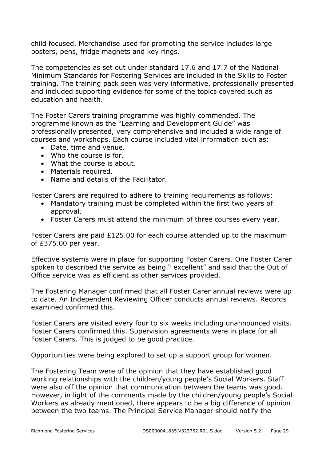child focused. Merchandise used for promoting the service includes large posters, pens, fridge magnets and key rings.

The competencies as set out under standard 17.6 and 17.7 of the National Minimum Standards for Fostering Services are included in the Skills to Foster training. The training pack seen was very informative, professionally presented and included supporting evidence for some of the topics covered such as education and health.

The Foster Carers training programme was highly commended. The programme known as the "Learning and Development Guide" was professionally presented, very comprehensive and included a wide range of courses and workshops. Each course included vital information such as:

- Date, time and venue.
- Who the course is for.
- What the course is about.
- Materials required.
- Name and details of the Facilitator.

Foster Carers are required to adhere to training requirements as follows:

- Mandatory training must be completed within the first two years of approval.
- Foster Carers must attend the minimum of three courses every year.

Foster Carers are paid £125.00 for each course attended up to the maximum of £375.00 per year.

Effective systems were in place for supporting Foster Carers. One Foster Carer spoken to described the service as being " excellent" and said that the Out of Office service was as efficient as other services provided.

The Fostering Manager confirmed that all Foster Carer annual reviews were up to date. An Independent Reviewing Officer conducts annual reviews. Records examined confirmed this.

Foster Carers are visited every four to six weeks including unannounced visits. Foster Carers confirmed this. Supervision agreements were in place for all Foster Carers. This is judged to be good practice.

Opportunities were being explored to set up a support group for women.

The Fostering Team were of the opinion that they have established good working relationships with the children/young people's Social Workers. Staff were also off the opinion that communication between the teams was good. However, in light of the comments made by the children/young people's Social Workers as already mentioned, there appears to be a big difference of opinion between the two teams. The Principal Service Manager should notify the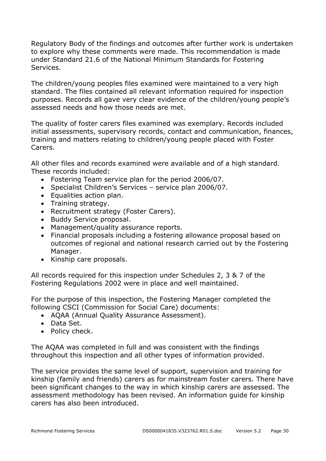Regulatory Body of the findings and outcomes after further work is undertaken to explore why these comments were made. This recommendation is made under Standard 21.6 of the National Minimum Standards for Fostering Services.

The children/young peoples files examined were maintained to a very high standard. The files contained all relevant information required for inspection purposes. Records all gave very clear evidence of the children/young people's assessed needs and how those needs are met.

The quality of foster carers files examined was exemplary. Records included initial assessments, supervisory records, contact and communication, finances, training and matters relating to children/young people placed with Foster Carers.

All other files and records examined were available and of a high standard. These records included:

- Fostering Team service plan for the period 2006/07.
- Specialist Children's Services service plan 2006/07.
- Equalities action plan.
- Training strategy.
- Recruitment strategy (Foster Carers).
- Buddy Service proposal.
- Management/quality assurance reports.
- Financial proposals including a fostering allowance proposal based on outcomes of regional and national research carried out by the Fostering Manager.
- Kinship care proposals.

All records required for this inspection under Schedules 2, 3 & 7 of the Fostering Regulations 2002 were in place and well maintained.

For the purpose of this inspection, the Fostering Manager completed the following CSCI (Commission for Social Care) documents:

- AQAA (Annual Quality Assurance Assessment).
- Data Set.
- Policy check.

The AQAA was completed in full and was consistent with the findings throughout this inspection and all other types of information provided.

The service provides the same level of support, supervision and training for kinship (family and friends) carers as for mainstream foster carers. There have been significant changes to the way in which kinship carers are assessed. The assessment methodology has been revised. An information guide for kinship carers has also been introduced.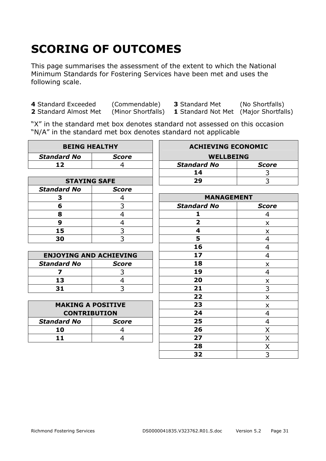# **SCORING OF OUTCOMES**

This page summarises the assessment of the extent to which the National Minimum Standards for Fostering Services have been met and uses the following scale.

**4** Standard Exceeded (Commendable) **3** Standard Met (No Shortfalls)

**1** Standard Not Met (Major Shortfalls)

"X" in the standard met box denotes standard not assessed on this occasion "N/A" in the standard met box denotes standard not applicable

| <b>BEING HEALTHY</b>          |                | <b>ACHIEVING ECONOMIC</b> |                |
|-------------------------------|----------------|---------------------------|----------------|
| <b>Standard No</b>            | <b>Score</b>   | <b>WELLBEING</b>          |                |
| 12                            | 4              | <b>Standard No</b>        | <b>Score</b>   |
|                               |                | 14                        | 3              |
| <b>STAYING SAFE</b>           |                | 29                        | $\overline{3}$ |
| <b>Standard No</b>            | <b>Score</b>   |                           |                |
| 3                             | 4              | <b>MANAGEMENT</b>         |                |
| 6                             | 3              | <b>Standard No</b>        | <b>Score</b>   |
| 8                             | $\overline{4}$ | 1                         | 4              |
| 9                             | $\overline{4}$ | $\overline{\mathbf{2}}$   | X              |
| 15                            | $\overline{3}$ | 4                         | X              |
| 30                            | $\overline{3}$ | 5                         | 4              |
|                               |                | 16                        | 4              |
| <b>ENJOYING AND ACHIEVING</b> |                | 17                        | 4              |
| <b>Standard No</b>            | <b>Score</b>   | 18                        | X              |
| 7                             | 3              | 19                        | $\overline{4}$ |
| 13                            | $\overline{4}$ | 20                        | X              |
| 31                            | 3              | 21                        | 3              |
|                               |                | 22                        | X              |
| <b>MAKING A POSITIVE</b>      |                | 23                        | X              |
| <b>CONTRIBUTION</b>           |                | 24                        | 4              |
| <b>Standard No</b>            | <b>Score</b>   | 25                        | 4              |
| 10                            | 4              | 26                        | X              |
| 11                            | 4              | 27                        | Χ              |
|                               |                | 28                        | Χ              |
|                               |                | 32                        | $\overline{3}$ |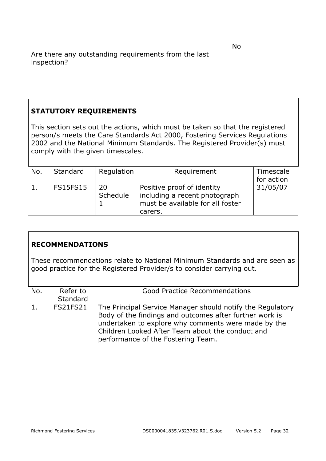#### **STATUTORY REQUIREMENTS**

This section sets out the actions, which must be taken so that the registered person/s meets the Care Standards Act 2000, Fostering Services Regulations 2002 and the National Minimum Standards. The Registered Provider(s) must comply with the given timescales.

| No. | Standard        | Regulation     | Requirement                                                 | Timescale  |
|-----|-----------------|----------------|-------------------------------------------------------------|------------|
|     |                 |                |                                                             | for action |
|     | <b>FS15FS15</b> | 20<br>Schedule | Positive proof of identity<br>including a recent photograph | 31/05/07   |
|     |                 |                | must be available for all foster                            |            |
|     |                 |                |                                                             |            |
|     |                 |                | carers.                                                     |            |

#### **RECOMMENDATIONS**

These recommendations relate to National Minimum Standards and are seen as good practice for the Registered Provider/s to consider carrying out.

| No. | Refer to        | <b>Good Practice Recommendations</b>                                                                                                                                                                                                                                   |
|-----|-----------------|------------------------------------------------------------------------------------------------------------------------------------------------------------------------------------------------------------------------------------------------------------------------|
|     | Standard        |                                                                                                                                                                                                                                                                        |
| 1.  | <b>FS21FS21</b> | The Principal Service Manager should notify the Regulatory<br>Body of the findings and outcomes after further work is<br>undertaken to explore why comments were made by the<br>Children Looked After Team about the conduct and<br>performance of the Fostering Team. |